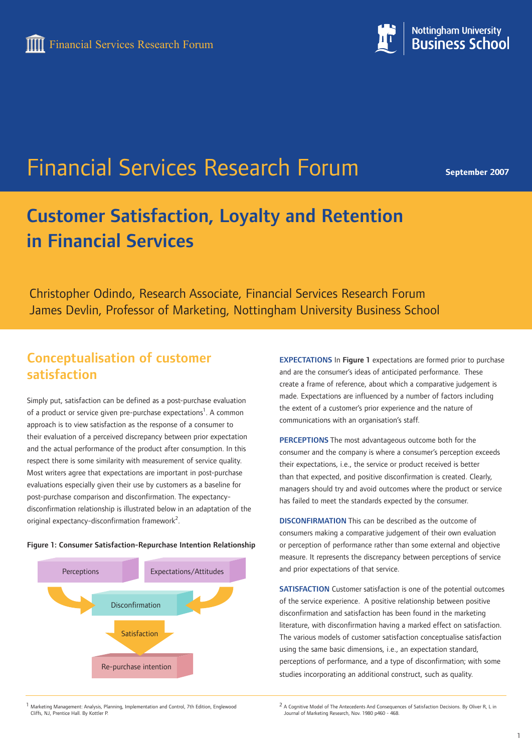

Financial Services Research Forum

**September 2007**

# Customer Satisfaction, Loyalty and Retention in Financial Services

Christopher Odindo, Research Associate, Financial Services Research Forum James Devlin, Professor of Marketing, Nottingham University Business School

## Conceptualisation of customer satisfaction

Simply put, satisfaction can be defined as a post-purchase evaluation of a product or service given pre-purchase expectations<sup>1</sup>. A common approach is to view satisfaction as the response of a consumer to their evaluation of a perceived discrepancy between prior expectation and the actual performance of the product after consumption. In this respect there is some similarity with measurement of service quality. Most writers agree that expectations are important in post-purchase evaluations especially given their use by customers as a baseline for post-purchase comparison and disconfirmation. The expectancydisconfirmation relationship is illustrated below in an adaptation of the original expectancy-disconfirmation framework<sup>2</sup>.

#### Figure 1: Consumer Satisfaction-Repurchase Intention Relationship



EXPECTATIONS In Figure 1 expectations are formed prior to purchase and are the consumer's ideas of anticipated performance. These create a frame of reference, about which a comparative judgement is made. Expectations are influenced by a number of factors including the extent of a customer's prior experience and the nature of communications with an organisation's staff.

PERCEPTIONS The most advantageous outcome both for the consumer and the company is where a consumer's perception exceeds their expectations, i.e., the service or product received is better than that expected, and positive disconfirmation is created. Clearly, managers should try and avoid outcomes where the product or service has failed to meet the standards expected by the consumer.

DISCONFIRMATION This can be described as the outcome of consumers making a comparative judgement of their own evaluation or perception of performance rather than some external and objective measure. It represents the discrepancy between perceptions of service and prior expectations of that service.

SATISFACTION Customer satisfaction is one of the potential outcomes of the service experience. A positive relationship between positive disconfirmation and satisfaction has been found in the marketing literature, with disconfirmation having a marked effect on satisfaction. The various models of customer satisfaction conceptualise satisfaction using the same basic dimensions, i.e., an expectation standard, perceptions of performance, and a type of disconfirmation; with some studies incorporating an additional construct, such as quality.

1 Marketing Management: Analysis, Planning, Implementation and Control, 7th Edition, Englewood Cliffs, NJ, Prentice Hall. By Kottler P.

<sup>2</sup> A Cognitive Model of The Antecedents And Consequences of Satisfaction Decisions. By Oliver R, L in Journal of Marketing Research, Nov. 1980 p460 - 468.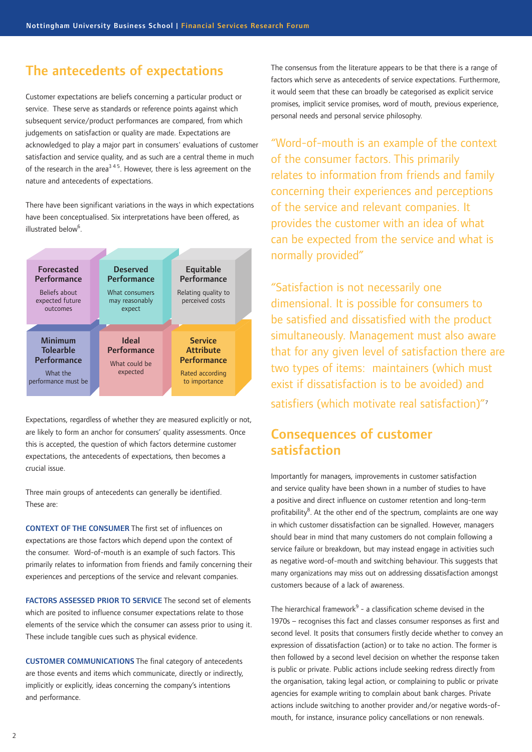#### The antecedents of expectations

Customer expectations are beliefs concerning a particular product or service. These serve as standards or reference points against which subsequent service/product performances are compared, from which judgements on satisfaction or quality are made. Expectations are acknowledged to play a major part in consumers' evaluations of customer satisfaction and service quality, and as such are a central theme in much of the research in the area<sup>345</sup>. However, there is less agreement on the nature and antecedents of expectations.

There have been significant variations in the ways in which expectations have been conceptualised. Six interpretations have been offered, as illustrated below<sup>6</sup>.



Expectations, regardless of whether they are measured explicitly or not, are likely to form an anchor for consumers' quality assessments. Once this is accepted, the question of which factors determine customer expectations, the antecedents of expectations, then becomes a crucial issue.

Three main groups of antecedents can generally be identified. These are:

CONTEXT OF THE CONSUMER The first set of influences on expectations are those factors which depend upon the context of the consumer. Word-of-mouth is an example of such factors. This primarily relates to information from friends and family concerning their experiences and perceptions of the service and relevant companies.

FACTORS ASSESSED PRIOR TO SERVICE The second set of elements which are posited to influence consumer expectations relate to those elements of the service which the consumer can assess prior to using it. These include tangible cues such as physical evidence.

CUSTOMER COMMUNICATIONS The final category of antecedents are those events and items which communicate, directly or indirectly, implicitly or explicitly, ideas concerning the company's intentions and performance.

The consensus from the literature appears to be that there is a range of factors which serve as antecedents of service expectations. Furthermore, it would seem that these can broadly be categorised as explicit service promises, implicit service promises, word of mouth, previous experience, personal needs and personal service philosophy.

"Word-of-mouth is an example of the context of the consumer factors. This primarily relates to information from friends and family concerning their experiences and perceptions of the service and relevant companies. It provides the customer with an idea of what can be expected from the service and what is normally provided"

"Satisfaction is not necessarily one dimensional. It is possible for consumers to be satisfied and dissatisfied with the product simultaneously. Management must also aware that for any given level of satisfaction there are two types of items: maintainers (which must exist if dissatisfaction is to be avoided) and satisfiers (which motivate real satisfaction)"<sup>7</sup>

### Consequences of customer satisfaction

Importantly for managers, improvements in customer satisfaction and service quality have been shown in a number of studies to have a positive and direct influence on customer retention and long-term profitability<sup>8</sup>. At the other end of the spectrum, complaints are one way in which customer dissatisfaction can be signalled. However, managers should bear in mind that many customers do not complain following a service failure or breakdown, but may instead engage in activities such as negative word-of-mouth and switching behaviour. This suggests that many organizations may miss out on addressing dissatisfaction amongst customers because of a lack of awareness.

The hierarchical framework $9$  - a classification scheme devised in the 1970s – recognises this fact and classes consumer responses as first and second level. It posits that consumers firstly decide whether to convey an expression of dissatisfaction (action) or to take no action. The former is then followed by a second level decision on whether the response taken is public or private. Public actions include seeking redress directly from the organisation, taking legal action, or complaining to public or private agencies for example writing to complain about bank charges. Private actions include switching to another provider and/or negative words-ofmouth, for instance, insurance policy cancellations or non renewals.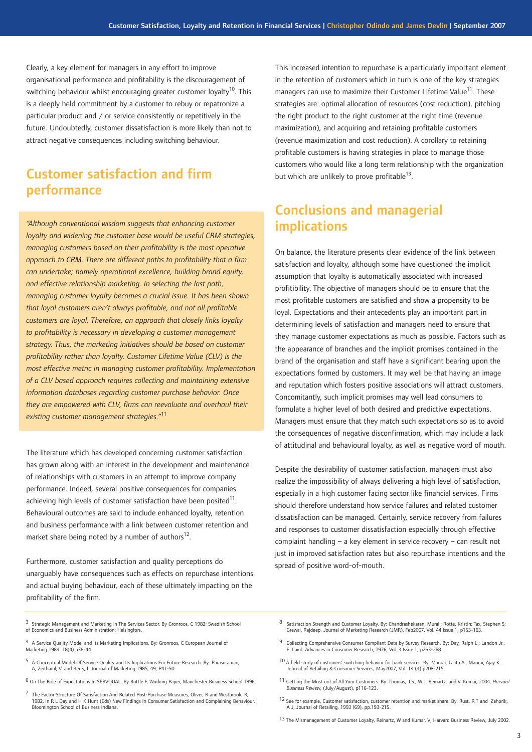Clearly, a key element for managers in any effort to improve organisational performance and profitability is the discouragement of switching behaviour whilst encouraging greater customer loyalty<sup>10</sup>. This is a deeply held commitment by a customer to rebuy or repatronize a particular product and / or service consistently or repetitively in the future. Undoubtedly, customer dissatisfaction is more likely than not to attract negative consequences including switching behaviour.

### Customer satisfaction and firm performance

*"Although conventional wisdom suggests that enhancing customer loyalty and widening the customer base would be useful CRM strategies, managing customers based on their profitability is the most operative approach to CRM. There are different paths to profitability that a firm can undertake; namely operational excellence, building brand equity, and effective relationship marketing. In selecting the last path, managing customer loyalty becomes a crucial issue. It has been shown that loyal customers aren't always profitable, and not all profitable customers are loyal. Therefore, an approach that closely links loyalty to profitability is necessary in developing a customer management strategy. Thus, the marketing initiatives should be based on customer profitability rather than loyalty. Customer Lifetime Value (CLV) is the most effective metric in managing customer profitability. Implementation of a CLV based approach requires collecting and maintaining extensive information databases regarding customer purchase behavior. Once they are empowered with CLV, firms can reevaluate and overhaul their existing customer management strategies."*<sup>11</sup>

The literature which has developed concerning customer satisfaction has grown along with an interest in the development and maintenance of relationships with customers in an attempt to improve company performance. Indeed, several positive consequences for companies achieving high levels of customer satisfaction have been posited $11$ . Behavioural outcomes are said to include enhanced loyalty, retention and business performance with a link between customer retention and market share being noted by a number of authors $^{12}$ .

Furthermore, customer satisfaction and quality perceptions do unarguably have consequences such as effects on repurchase intentions and actual buying behaviour, each of these ultimately impacting on the profitability of the firm.

This increased intention to repurchase is a particularly important element in the retention of customers which in turn is one of the key strategies managers can use to maximize their Customer Lifetime Value<sup>11</sup>. These strategies are: optimal allocation of resources (cost reduction), pitching the right product to the right customer at the right time (revenue maximization), and acquiring and retaining profitable customers (revenue maximization and cost reduction). A corollary to retaining profitable customers is having strategies in place to manage those customers who would like a long term relationship with the organization but which are unlikely to prove profitable $^{13}$ .

## Conclusions and managerial implications

On balance, the literature presents clear evidence of the link between satisfaction and loyalty, although some have questioned the implicit assumption that loyalty is automatically associated with increased profitibility. The objective of managers should be to ensure that the most profitable customers are satisfied and show a propensity to be loyal. Expectations and their antecedents play an important part in determining levels of satisfaction and managers need to ensure that they manage customer expectations as much as possible. Factors such as the appearance of branches and the implicit promises contained in the brand of the organisation and staff have a significant bearing upon the expectations formed by customers. It may well be that having an image and reputation which fosters positive associations will attract customers. Concomitantly, such implicit promises may well lead consumers to formulate a higher level of both desired and predictive expectations. Managers must ensure that they match such expectations so as to avoid the consequences of negative disconfirmation, which may include a lack of attitudinal and behavioural loyalty, as well as negative word of mouth.

Despite the desirability of customer satisfaction, managers must also realize the impossibility of always delivering a high level of satisfaction, especially in a high customer facing sector like financial services. Firms should therefore understand how service failures and related customer dissatisfaction can be managed. Certainly, service recovery from failures and responses to customer dissatisfaction especially through effective complaint handling – a key element in service recovery – can result not just in improved satisfaction rates but also repurchase intentions and the spread of positive word-of-mouth.

- 3 Strategic Management and Marketing in The Services Sector. By Gronroos, C 1982: Swedish School of Economics and Business Administration: Helsingfors.
- 4 A Service Quality Model and Its Marketing Implications. By: Gronroos, C European Journal of Marketing 1984 18(4) p36-44.
- 5 A Conceptual Model Of Service Quality and Its Implications For Future Research. By: Parasuraman, A; Zeithaml, V. and Berry, L Journal of Marketing 1985, 49, P41-50.
- 6 On The Role of Expectations In SERVQUAL. By Buttle F, Working Paper, Manchester Business School 1996.
- 7 The Factor Structure Of Satisfaction And Related Post-Purchase Measures, Oliver, R and Westbrook, R, 1982, in R L Day and H K Hunt (Eds) New Findings In Consumer Satisfaction and Complaining Behaviour, Bloomington School of Business Indiana.
- 8 Satisfaction Strength and Customer Loyalty. By: Chandrashekaran, Murali; Rotte, Kristin; Tax, Stephen S; Grewal, Rajdeep. Journal of Marketing Research (JMR), Feb2007, Vol. 44 Issue 1, p153-163.
- 9 Collecting Comprehensive Consumer Compliant Data by Survey Research. By: Day, Ralph L.; Landon Jr., E. Laird. Advances in Consumer Research, 1976, Vol. 3 Issue 1, p263-268.
- 10 A field study of customers' switching behavior for bank services. By: Manrai, Lalita A.; Manrai, Ajay K.. Journal of Retailing & Consumer Services, May2007, Vol. 14 (3) p208-215.
- 11 Getting the Most out of All Your Customers. By: Thomas, J.S., W.J. Reinartz, and V. Kumar, 2004, *Harvard Business Review,* (July/August), p116-123.
- 12 See for example, Customer satisfaction, customer retention and market share. By: Rust, R T and Zahorik, A J, Journal of Retailing, 1993 (69), pp.193-215.
- 13 The Mismanagement of Customer Loyalty, Reinartz, W and Kumar, V; Harvard Business Review, July 2002.